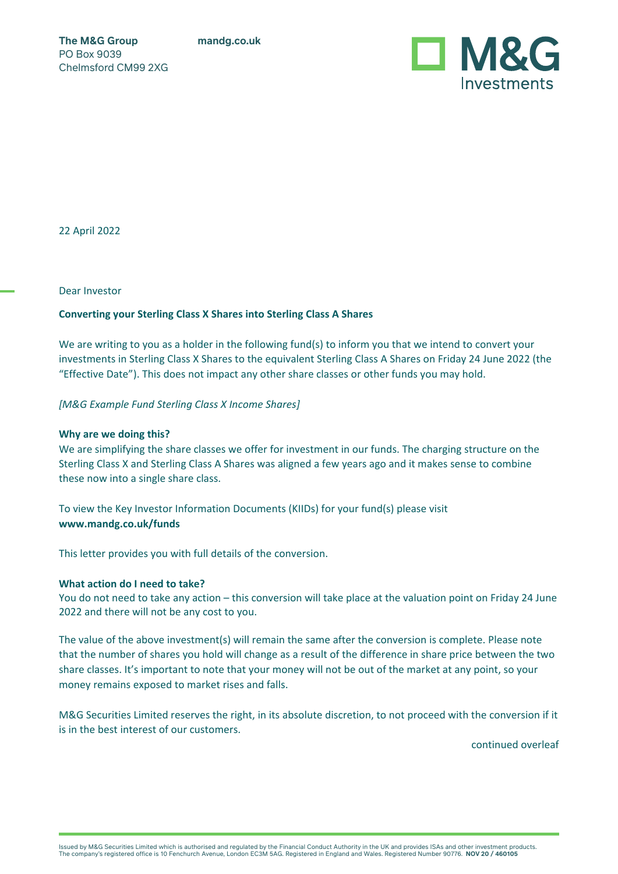**mandg.co.uk**

**The M&G Group** PO Box 9039 Chelmsford CM99 2XG



22 April 2022

Dear Investor

# **Converting your Sterling Class X Shares into Sterling Class A Shares**

We are writing to you as a holder in the following fund(s) to inform you that we intend to convert your investments in Sterling Class X Shares to the equivalent Sterling Class A Shares on Friday 24 June 2022 (the "Effective Date"). This does not impact any other share classes or other funds you may hold.

*[M&G Example Fund Sterling Class X Income Shares]* 

# **Why are we doing this?**

We are simplifying the share classes we offer for investment in our funds. The charging structure on the Sterling Class X and Sterling Class A Shares was aligned a few years ago and it makes sense to combine these now into a single share class.

To view the Key Investor Information Documents (KIIDs) for your fund(s) please visit **www.mandg.co.uk/funds**

This letter provides you with full details of the conversion.

# **What action do I need to take?**

You do not need to take any action – this conversion will take place at the valuation point on Friday 24 June 2022 and there will not be any cost to you.

The value of the above investment(s) will remain the same after the conversion is complete. Please note that the number of shares you hold will change as a result of the difference in share price between the two share classes. It's important to note that your money will not be out of the market at any point, so your money remains exposed to market rises and falls.

M&G Securities Limited reserves the right, in its absolute discretion, to not proceed with the conversion if it is in the best interest of our customers.

continued overleaf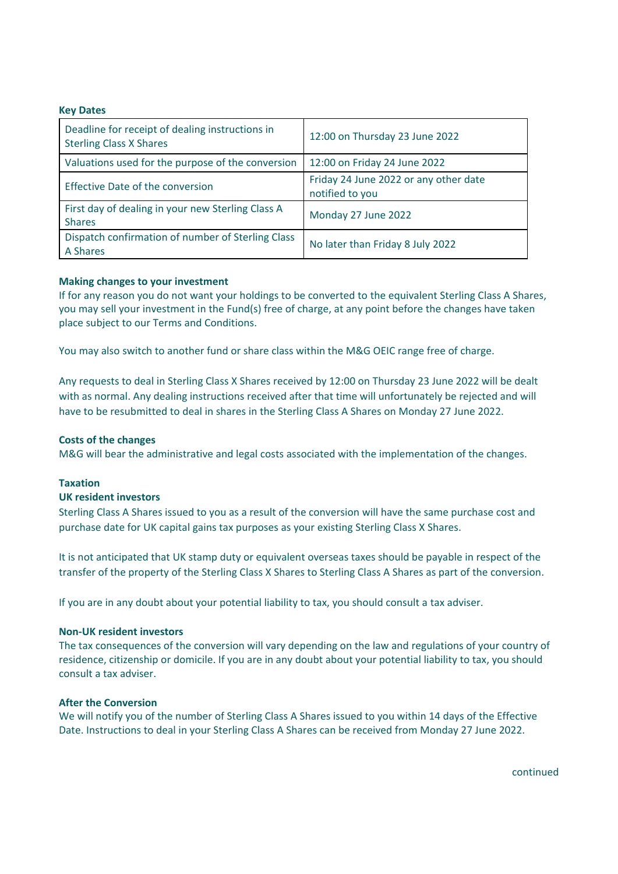# **Key Dates**

| Deadline for receipt of dealing instructions in<br><b>Sterling Class X Shares</b> | 12:00 on Thursday 23 June 2022                           |
|-----------------------------------------------------------------------------------|----------------------------------------------------------|
| Valuations used for the purpose of the conversion                                 | 12:00 on Friday 24 June 2022                             |
| <b>Effective Date of the conversion</b>                                           | Friday 24 June 2022 or any other date<br>notified to you |
| First day of dealing in your new Sterling Class A<br><b>Shares</b>                | Monday 27 June 2022                                      |
| Dispatch confirmation of number of Sterling Class<br>A Shares                     | No later than Friday 8 July 2022                         |

# **Making changes to your investment**

If for any reason you do not want your holdings to be converted to the equivalent Sterling Class A Shares, you may sell your investment in the Fund(s) free of charge, at any point before the changes have taken place subject to our Terms and Conditions.

You may also switch to another fund or share class within the M&G OEIC range free of charge.

Any requests to deal in Sterling Class X Shares received by 12:00 on Thursday 23 June 2022 will be dealt with as normal. Any dealing instructions received after that time will unfortunately be rejected and will have to be resubmitted to deal in shares in the Sterling Class A Shares on Monday 27 June 2022.

### **Costs of the changes**

M&G will bear the administrative and legal costs associated with the implementation of the changes.

#### **Taxation**

# **UK resident investors**

Sterling Class A Shares issued to you as a result of the conversion will have the same purchase cost and purchase date for UK capital gains tax purposes as your existing Sterling Class X Shares.

It is not anticipated that UK stamp duty or equivalent overseas taxes should be payable in respect of the transfer of the property of the Sterling Class X Shares to Sterling Class A Shares as part of the conversion.

If you are in any doubt about your potential liability to tax, you should consult a tax adviser.

#### **Non-UK resident investors**

The tax consequences of the conversion will vary depending on the law and regulations of your country of residence, citizenship or domicile. If you are in any doubt about your potential liability to tax, you should consult a tax adviser.

#### **After the Conversion**

We will notify you of the number of Sterling Class A Shares issued to you within 14 days of the Effective Date. Instructions to deal in your Sterling Class A Shares can be received from Monday 27 June 2022.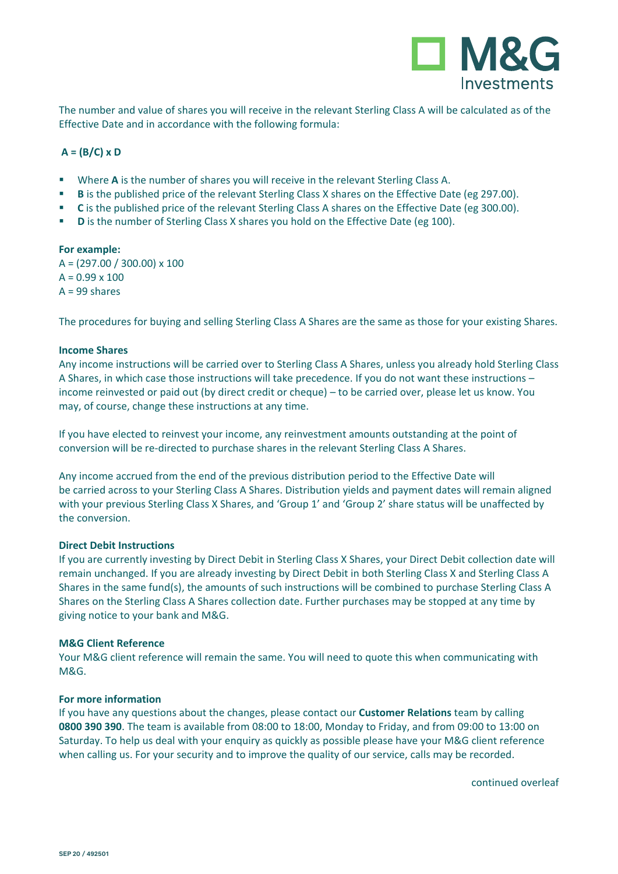

The number and value of shares you will receive in the relevant Sterling Class A will be calculated as of the Effective Date and in accordance with the following formula:

# **A = (B/C) x D**

- Where **A** is the number of shares you will receive in the relevant Sterling Class A.
- **B** is the published price of the relevant Sterling Class X shares on the Effective Date (eg 297.00).
- C is the published price of the relevant Sterling Class A shares on the Effective Date (eg 300.00).
- **D** is the number of Sterling Class X shares you hold on the Effective Date (eg 100).

# **For example:**

 $A = (297.00 / 300.00) \times 100$  $A = 0.99 \times 100$  $A = 99$  shares

The procedures for buying and selling Sterling Class A Shares are the same as those for your existing Shares.

# **Income Shares**

Any income instructions will be carried over to Sterling Class A Shares, unless you already hold Sterling Class A Shares, in which case those instructions will take precedence. If you do not want these instructions – income reinvested or paid out (by direct credit or cheque) – to be carried over, please let us know. You may, of course, change these instructions at any time.

If you have elected to reinvest your income, any reinvestment amounts outstanding at the point of conversion will be re-directed to purchase shares in the relevant Sterling Class A Shares.

Any income accrued from the end of the previous distribution period to the Effective Date will be carried across to your Sterling Class A Shares. Distribution yields and payment dates will remain aligned with your previous Sterling Class X Shares, and 'Group 1' and 'Group 2' share status will be unaffected by the conversion.

#### **Direct Debit Instructions**

If you are currently investing by Direct Debit in Sterling Class X Shares, your Direct Debit collection date will remain unchanged. If you are already investing by Direct Debit in both Sterling Class X and Sterling Class A Shares in the same fund(s), the amounts of such instructions will be combined to purchase Sterling Class A Shares on the Sterling Class A Shares collection date. Further purchases may be stopped at any time by giving notice to your bank and M&G.

#### **M&G Client Reference**

Your M&G client reference will remain the same. You will need to quote this when communicating with M&G.

#### **For more information**

If you have any questions about the changes, please contact our **Customer Relations** team by calling **0800 390 390**. The team is available from 08:00 to 18:00, Monday to Friday, and from 09:00 to 13:00 on Saturday. To help us deal with your enquiry as quickly as possible please have your M&G client reference when calling us. For your security and to improve the quality of our service, calls may be recorded.